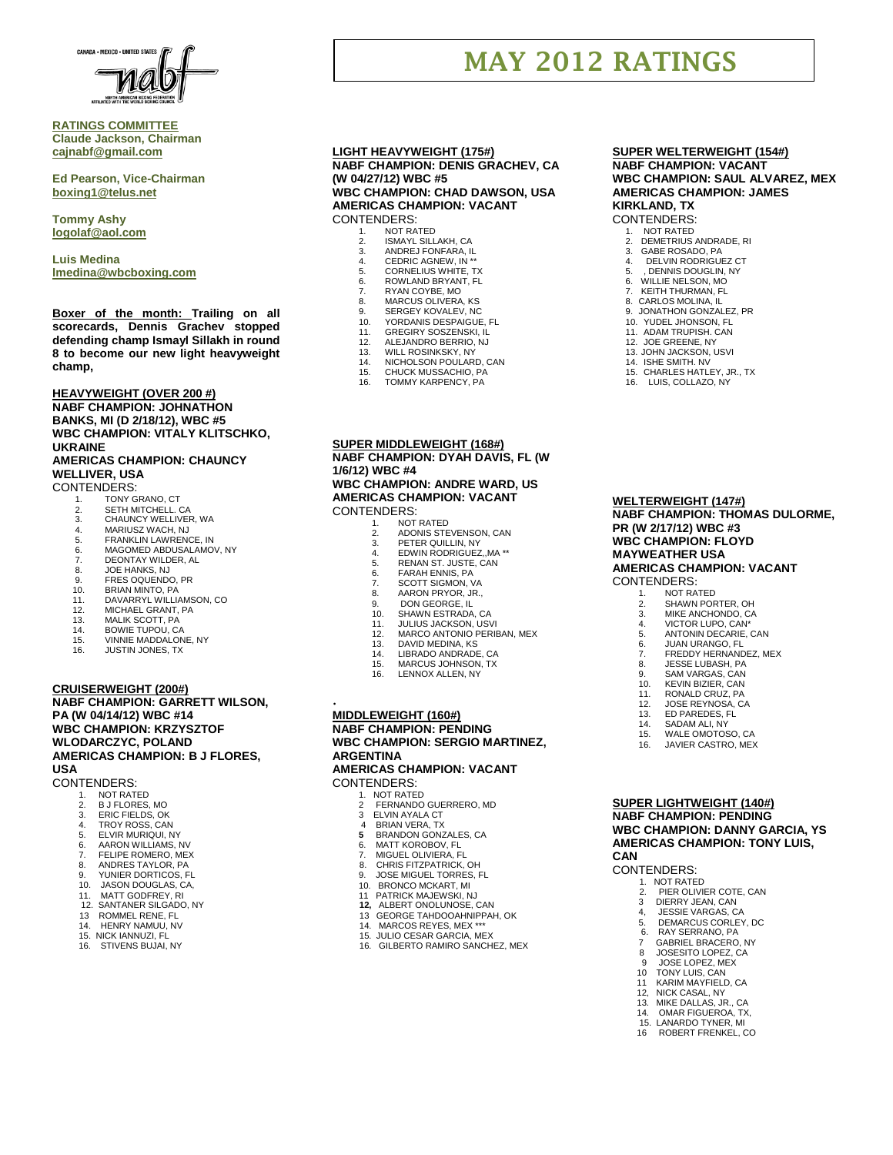

## **RATINGS COMMITTEE Claude Jackson, Chairman [cajnabf@gmail.com](mailto:cajnabf@gmail.com)**

**Ed Pearson, Vice-Chairman boxing1@telus.net**

**Tommy Ashy [logolaf@aol.com](mailto:logolaf@aol.com)**

**Luis Medina [lmedina@wbcboxing.com](mailto:lmedina@wbcboxing.com)**

**Boxer of the month: Trailing on all scorecards, Dennis Grachev stopped defending champ Ismayl Sillakh in round 8 to become our new light heavyweight champ,**

**HEAVYWEIGHT (OVER 200 #) NABF CHAMPION: JOHNATHON BANKS, MI (D 2/18/12), WBC #5 WBC CHAMPION: VITALY KLITSCHKO, UKRAINE AMERICAS CHAMPION: CHAUNCY** 

# **WELLIVER, USA**

CONTENDERS:

- 1. TONY GRANO, CT 2. SETH MITCHELL. CA
- 
- 3. CHAUNCY WELLIVER, WA 4. MARIUSZ WACH, NJ
- 
- 5. FRANKLIN LAWRENCE, IN<br>5. FRANKLIN LAWRENCE, IN<br>6. MAGOMED ABDUSALAMO 6. MAGOMED ABDUSALAMOV, NY
- 7. DEONTAY WILDER, AL<br>8. JOE HANKS, NJ
- 8. JOE HANKS, NJ<br>9. FRES OOUENDO
- 
- 9. FRES OQUENDO, PR 10. BRIAN MINTO, PA
- 11. DAVARRYL WILLIAMSON, CO.<br>12 MICHAEL GRANT PA
- 12. MICHAEL GRANT, PA 13. MALIK SCOTT, PA
- 
- 14. BOWIE TUPOU, CA<br>15. VINNIE MADDALON 15. VINNIE MADDALONE, NY
- 16. JUSTIN JONES, TX

#### **CRUISERWEIGHT (200#)**

## **NABF CHAMPION: GARRETT WILSON, PA (W 04/14/12) WBC #14 WBC CHAMPION: KRZYSZTOF WLODARCZYC, POLAND AMERICAS CHAMPION: B J FLORES, USA**

CONTENDERS:

- 1. NOT RATED<br>2. B J FLORES,
- 2. B J FLORES, MO
- 3. ERIC FIELDS, OK 4. TROY ROSS, CAN
- 5. ELVIR MURIQUI, NY
- 
- 6. AARON WILLIAMS, NV 7. FELIPE ROMERO, MEX
- 
- 8. ANDRES TAYLOR, PA 9. YUNIER DORTICOS, FL
- 10. JASON DOUGLAS, CA,
- 
- 11. MATT GODFREY, RI 12. SANTANER SILGADO, NY
- 13 ROMMEL RENE, FL
- 14. HENRY NAMUU, NV
- 15. NICK IANNUZI, FL STIVENS BUJAL NY

### **LIGHT HEAVYWEIGHT (175#) NABF CHAMPION: DENIS GRACHEV, CA (W 04/27/12) WBC #5 WBC CHAMPION: CHAD DAWSON, USA**

**AMERICAS CHAMPION: VACANT** CONTENDERS:

- 1. NOT RATED<br>2. ISMAYL SILL
- 2. ISMAYL SILLAKH, CA 3. ANDREJ FONFARA, IL
- 4. CEDRIC AGNEW, IN<sup>\*\*</sup><br>5. CORNELIUS WHITE T
- 5. CORNELIUS WHITE, TX<br>6. ROWLAND BRYANT, FL
- 6. ROWLAND BRYANT, FL RYAN COYBE, MO
- 
- 8. MARCUS OLIVERA, KS<br>9. SERGEY KOVALEV, NC 9. SERGEY KOVALEV, NC<br>10 YORDANIS DESPAIGUE
- YORDANIS DESPAIGUE, FL
- 11. GREGIRY SOSZENSKI, IL<br>12. ALEJANDRO BERRIO, NJ
- 12. ALEJANDRO BERRIO, NJ<br>13. WILL ROSINKSKY, NY
- 13. WILL ROSINKSKY, NY<br>14. NICHOLSON POULAR
- 14. NICHOLSON POULARD, CAN
- 15. CHUCK MUSSACHIO, PA<br>16. TOMMY KARPENCY, PA TOMMY KARPENCY, PA
- **SUPER MIDDLEWEIGHT (168#) NABF CHAMPION: DYAH DAVIS, FL (W 1/6/12) WBC #4**

#### **WBC CHAMPION: ANDRE WARD, US AMERICAS CHAMPION: VACANT** CONTENDERS:

- NOT RATED
- 2. ADONIS STEVENSON, CAN<br>3. PETER QUILLIN, NY
- 3. PETER QUILLIN, NY<br>4. EDWIN RODRIGUEZ
- 4. EDWIN RODRIGUEZ,,MA \*\* 5. RENAN ST. JUSTE, CAN
- 
- 6. FARAH ENNIS, PA<br>7. SCOTT SIGMON, VA
- 8. AARON PRYOR, JR.,<br>9. DON GEORGE, IL
- 
- 9. DON GEORGE, IL 10. SHAWN ESTRADA, CA
- 
- 11. JULIUS JACKSON, USVI 12. MARCO ANTONIO PERIBAN, MEX
- 
- 13. DAVID MEDINA, KS<br>14. LIBRADO ANDRADE
- 14. LIBRADO ANDRADE, CA<br>15. MARCUS JOHNSON TX MARCUS JOHNSON, TX
- 16. LENNOX ALLEN, NY

## . **MIDDLEWEIGHT (160#) NABF CHAMPION: PENDING WBC CHAMPION: SERGIO MARTINEZ, ARGENTINA**

**AMERICAS CHAMPION: VACANT** CONTENDERS:

- 
- 1. NOT RATED<br>2 FERNANDO
- 2 FERNANDO GUERRERO, MD<br>3 ELVIN AYALA CT
- 3 ELVIN AYALA CT 4 BRIAN VERA, TX
- **5** BRANDON GONZALES, CA
- 6. MATT KOROBOV, FL<br>7. MIGUEL OLIVIERA, F
- **7. MIGUEL OLIVIERA, FL<br>8. CHRIS FITZPATRICK**
- 8. CHRIS FITZPATRICK, OH 9. JOSE MIGUEL TORRES, FL
	- 10. BRONCO MCKART, MI
- 11 PATRICK MAJEWSKI, NJ  **12,** ALBERT ONOLUNOSE, CAN
	-
- 13 GEORGE TAHDOOAHNIPPAH, OK 14. MARCOS REYES, MEX \*\*\*
	- 15. JULIO CESAR GARCIA, MEX
	- 16. GILBERTO RAMIRO SANCHEZ, MEX

## **SUPER WELTERWEIGHT (154#) NABF CHAMPION: VACANT WBC CHAMPION: SAUL ALVAREZ, MEX AMERICAS CHAMPION: JAMES KIRKLAND, TX**

## CONTENDERS:

**MAY 2012 RATINGS**

- 1. NOT RATED
- 2. DEMETRIUS ANDRADE, RI 3. GABE ROSADO, PA
- 4. DELVIN RODRIGUEZ CT
- 5. , DENNIS DOUGLIN, NY<br>6. WILLIE NELSON, MO
- 6. WILLIE NELSON, MO KEITH THURMAN, FL
- 
- 8. CARLOS MOLINA, IL 9. JONATHON GONZALEZ, PR
- YUDEL JHONSON, FL

**WELTERWEIGHT (147#)**

**PR (W 2/17/12) WBC #3 WBC CHAMPION: FLOYD MAYWEATHER USA**

CONTENDERS: 1. NOT RATED<br>2. SHAWN POR 2. SHAWN PORTER, OH 3. MIKE ANCHONDO, CA 4. VICTOR LUPO, CAN\*<br>5 ANTONIN DECARIE 5. ANTONIN DECARIE, CAN

**NABF CHAMPION: THOMAS DULORME,** 

**AMERICAS CHAMPION: VACANT**

6. JUAN URANGO, FL 7. FREDDY HERNANDEZ, MEX 8. JESSE LUBASH, PA 9. SAM VARGAS, CAN<br>10. KEVIN BIZIER CAN **KEVIN BIZIER, CAN** 11. RONALD CRUZ, PA<br>12. JOSE REYNOSA, CA 12. JOSE REYNOSA, CA<br>13. ED PAREDES. FL **FD PAREDES FL** 14. SADAM ALI, NY WALE OMOTOSO, CA 16. JAVIER CASTRO, MEX

**SUPER LIGHTWEIGHT (140#) NABF CHAMPION: PENDING WBC CHAMPION: DANNY GARCIA, YS AMERICAS CHAMPION: TONY LUIS,** 

2. PIER OLIVIER COTE, CAN<br>3 DIERRY JEAN. CAN DIERRY JEAN, CAN 4, JESSIE VARGAS, CA<br>5 DEMARCUS CORLEY 5. DEMARCUS CORLEY, DC<br>6. RAY SERRANO, PA RAY SERRANO, PA 7 GABRIEL BRACERO, NY<br>8 JOSESITO LOPEZ, CA 8 JOSESITO LOPEZ, CA 9 JOSE LOPEZ, MEX 10 TONY LUIS, CAN 11 KARIM MAYFIELD, CA 12, NICK CASAL, NY 13. MIKE DALLAS, JR., CA<br>14. OMAR FIGUEROA. TX 14. OMAR FIGUEROA, TX,<br>15. LANARDO TYNER MI 15. LANARDO TYNER, MI<br>16. ROBERT ERENKEL O 16 ROBERT FRENKEL, CO

**CAN**

CONTENDERS: 1. NOT RATED

11. ADAM TRUPISH. CAN 12. JOE GREENE, NY 12. JOHN JACKSON, USVI

14. ISHE SMITH. NV 15. CHARLES HATLEY, JR., TX 16. LUIS, COLLAZO, NY